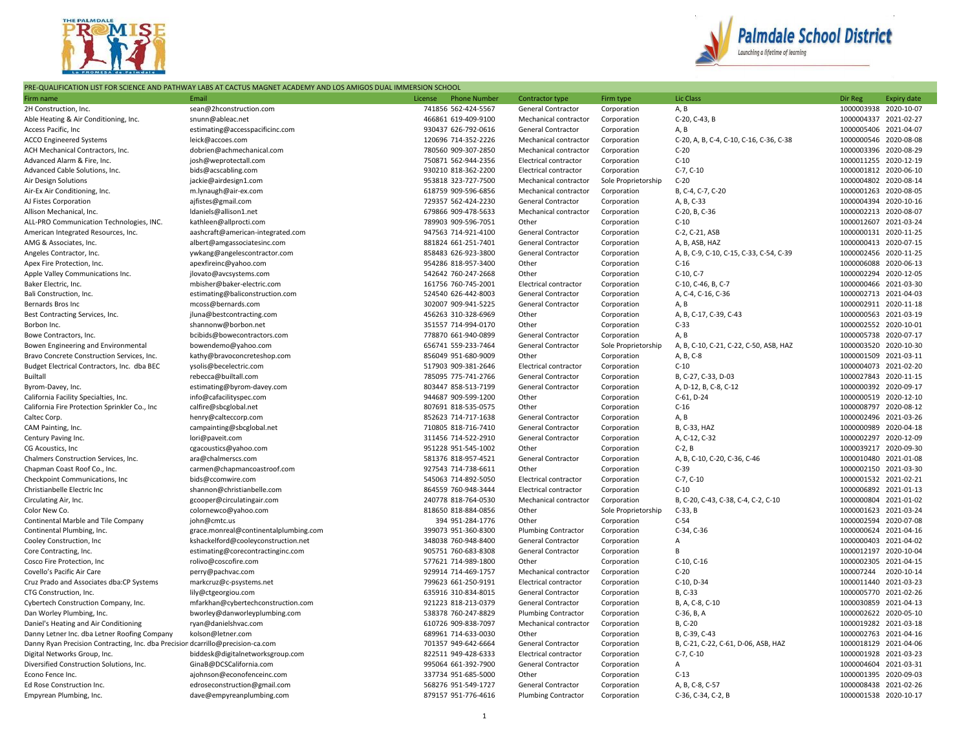



## PRE-QUALIFICATION LIST FOR SCIENCE AND PATHWAY LABS AT CACTUS MAGNET ACADEMY AND LOS AMIGOS DUAL IMMERSION SCHOOL

| Firm name                                                                       | Email                                 | License | <b>Phone Number</b> | Contractor type            | Firm type           | Lic Class                               | Dir Reg | <b>Expiry date</b>                             |
|---------------------------------------------------------------------------------|---------------------------------------|---------|---------------------|----------------------------|---------------------|-----------------------------------------|---------|------------------------------------------------|
| 2H Construction, Inc.                                                           | sean@2hconstruction.com               |         | 741856 562-424-5567 | General Contractor         | Corporation         | A, B                                    |         | 1000003938 2020-10-07                          |
| Able Heating & Air Conditioning, Inc.                                           | snunn@ableac.net                      |         | 466861 619-409-9100 | Mechanical contractor      | Corporation         | C-20, C-43, B                           |         | 1000004337 2021-02-27                          |
| Access Pacific, Inc                                                             | estimating@accesspacificinc.com       |         | 930437 626-792-0616 | General Contractor         | Corporation         | A, B                                    |         | 1000005406 2021-04-07                          |
| <b>ACCO Engineered Systems</b>                                                  | leick@accoes.com                      |         | 120696 714-352-2226 | Mechanical contractor      | Corporation         | C-20, A, B, C-4, C-10, C-16, C-36, C-38 |         | 1000000546 2020-08-08                          |
| ACH Mechanical Contractors, Inc.                                                | dobrien@achmechanical.com             |         | 780560 909-307-2850 | Mechanical contractor      | Corporation         | $C-20$                                  |         | 1000003396 2020-08-29                          |
| Advanced Alarm & Fire, Inc.                                                     | josh@weprotectall.com                 |         | 750871 562-944-2356 | Electrical contractor      | Corporation         | $C-10$                                  |         | 1000011255 2020-12-19                          |
| Advanced Cable Solutions, Inc.                                                  | bids@acscabling.com                   |         | 930210 818-362-2200 | Electrical contractor      | Corporation         | $C-7, C-10$                             |         | 1000001812 2020-06-10                          |
| Air Design Solutions                                                            | jackie@airdesign1.com                 |         | 953818 323-727-7500 | Mechanical contractor      | Sole Proprietorship | $C-20$                                  |         | 1000004802 2020-08-14                          |
| Air-Ex Air Conditioning, Inc.                                                   | m.lynaugh@air-ex.com                  |         | 618759 909-596-6856 | Mechanical contractor      | Corporation         | B, C-4, C-7, C-20                       |         | 1000001263 2020-08-05                          |
| AJ Fistes Corporation                                                           | ajfistes@gmail.com                    |         | 729357 562-424-2230 | General Contractor         | Corporation         | A, B, C-33                              |         | 1000004394 2020-10-16                          |
| Allison Mechanical, Inc.                                                        | Idaniels@allison1.net                 |         | 679866 909-478-5633 | Mechanical contractor      | Corporation         | C-20, B, C-36                           |         | 1000002213 2020-08-07                          |
| ALL-PRO Communication Technologies, INC.                                        | kathleen@allprocti.com                |         | 789903 909-596-7051 | Other                      | Corporation         | $C-10$                                  |         | 1000012607 2021-03-24                          |
| American Integrated Resources, Inc.                                             |                                       |         | 947563 714-921-4100 |                            |                     | C-2, C-21, ASB                          |         | 1000000131 2020-11-25                          |
|                                                                                 | aashcraft@american-integrated.com     |         | 881824 661-251-7401 | General Contractor         | Corporation         |                                         |         |                                                |
| AMG & Associates, Inc.                                                          | albert@amgassociatesinc.com           |         |                     | General Contractor         | Corporation         | A, B, ASB, HAZ                          |         | 1000000413 2020-07-15                          |
| Angeles Contractor, Inc.                                                        | ywkang@angelescontractor.com          |         | 858483 626-923-3800 | General Contractor         | Corporation         | A, B, C-9, C-10, C-15, C-33, C-54, C-39 |         | 1000002456 2020-11-25                          |
| Apex Fire Protection, Inc.                                                      | apexfireinc@yahoo.com                 |         | 954286 818-957-3400 | Other                      | Corporation         | $C-16$                                  |         | 1000006088 2020-06-13                          |
| Apple Valley Communications Inc.                                                | jlovato@avcsystems.com                |         | 542642 760-247-2668 | Other                      | Corporation         | $C-10, C-7$                             |         | 1000002294 2020-12-05                          |
| Baker Electric, Inc.                                                            | mbisher@baker-electric.com            |         | 161756 760-745-2001 | Electrical contractor      | Corporation         | C-10, C-46, B, C-7                      |         | 1000000466 2021-03-30                          |
| Bali Construction, Inc.                                                         | estimating@baliconstruction.com       |         | 524540 626-442-8003 | General Contractor         | Corporation         | A, C-4, C-16, C-36                      |         | 1000002713 2021-04-03                          |
| Bernards Bros Inc                                                               | mcoss@bernards.com                    |         | 302007 909-941-5225 | General Contractor         | Corporation         | A, B                                    |         | 1000002911 2020-11-18                          |
| Best Contracting Services, Inc.                                                 | jluna@bestcontracting.com             |         | 456263 310-328-6969 | Other                      | Corporation         | A, B, C-17, C-39, C-43                  |         | 1000000563 2021-03-19                          |
| Borbon Inc.                                                                     | shannonw@borbon.net                   |         | 351557 714-994-0170 | Other                      | Corporation         | $C-33$                                  |         | 1000002552 2020-10-01                          |
| Bowe Contractors, Inc.                                                          | bcibids@bowecontractors.com           |         | 778870 661-940-0899 | General Contractor         | Corporation         | A, B                                    |         | 1000005738 2020-07-17                          |
| Bowen Engineering and Environmental                                             | bowendemo@yahoo.com                   |         | 656741 559-233-7464 | General Contractor         | Sole Proprietorship | A, B, C-10, C-21, C-22, C-50, ASB, HAZ  |         | 1000003520 2020-10-30                          |
| Bravo Concrete Construction Services, Inc.                                      | kathy@bravoconcreteshop.com           |         | 856049 951-680-9009 | Other                      | Corporation         | A, B, C-8                               |         | 1000001509 2021-03-11                          |
| Budget Electrical Contractors, Inc. dba BEC                                     | ysolis@becelectric.com                |         | 517903 909-381-2646 | Electrical contractor      | Corporation         | $C-10$                                  |         | 1000004073 2021-02-20                          |
| Builtall                                                                        | rebecca@builtall.com                  |         | 785095 775-741-2766 | General Contractor         | Corporation         | B, C-27, C-33, D-03                     |         | 1000027843 2020-11-15                          |
| Byrom-Davey, Inc.                                                               | estimating@byrom-davey.com            |         | 803447 858-513-7199 | General Contractor         | Corporation         | A, D-12, B, C-8, C-12                   |         | 1000000392 2020-09-17                          |
| California Facility Specialties, Inc.                                           | info@cafacilityspec.com               |         | 944687 909-599-1200 | Other                      | Corporation         | C-61, D-24                              |         | 1000000519 2020-12-10                          |
| California Fire Protection Sprinkler Co., Inc                                   | calfire@sbcglobal.net                 |         | 807691 818-535-0575 | Other                      | Corporation         | $C-16$                                  |         | 1000008797 2020-08-12                          |
| Caltec Corp.                                                                    | henry@calteccorp.com                  |         | 852623 714-717-1638 | General Contractor         | Corporation         | A, B                                    |         | 1000002496 2021-03-26                          |
| CAM Painting, Inc.                                                              | campainting@sbcglobal.net             |         | 710805 818-716-7410 | General Contractor         | Corporation         | B, C-33, HAZ                            |         | 1000000989 2020-04-18                          |
| Century Paving Inc.                                                             | lori@paveit.com                       |         | 311456 714-522-2910 | General Contractor         | Corporation         | A, C-12, C-32                           |         | 1000002297 2020-12-09                          |
| CG Acoustics, Inc.                                                              | cgacoustics@yahoo.com                 |         | 951228 951-545-1002 | Other                      | Corporation         | $C-2, B$                                |         | 1000039217 2020-09-30                          |
| Chalmers Construction Services, Inc.                                            | ara@chalmerscs.com                    |         | 581376 818-957-4521 | General Contractor         | Corporation         | A, B, C-10, C-20, C-36, C-46            |         | 1000010480 2021-01-08                          |
| Chapman Coast Roof Co., Inc.                                                    | carmen@chapmancoastroof.com           |         | 927543 714-738-6611 | Other                      | Corporation         | $C-39$                                  |         | 1000002150 2021-03-30                          |
| Checkpoint Communications, Inc                                                  | bids@ccomwire.com                     |         | 545063 714-892-5050 | Electrical contractor      | Corporation         | $C-7, C-10$                             |         | 1000001532 2021-02-21                          |
| Christianbelle Electric Inc                                                     | shannon@christianbelle.com            |         | 864559 760-948-3444 | Electrical contractor      | Corporation         | $C-10$                                  |         | 1000006892 2021-01-13                          |
| Circulating Air, Inc.                                                           | gcooper@circulatingair.com            |         | 240778 818-764-0530 | Mechanical contractor      | Corporation         | B, C-20, C-43, C-38, C-4, C-2, C-10     |         | 1000000804 2021-01-02                          |
| Color New Co.                                                                   | colornewco@yahoo.com                  |         | 818650 818-884-0856 | Other                      | Sole Proprietorship | $C-33, B$                               |         | 1000001623 2021-03-24                          |
| Continental Marble and Tile Company                                             | john@cmtc.us                          |         | 394 951-284-1776    | Other                      | Corporation         | $C-54$                                  |         | 1000002594 2020-07-08                          |
| Continental Plumbing, Inc.                                                      | grace.monreal@continentalplumbing.com |         | 399073 951-360-8300 | <b>Plumbing Contractor</b> | Corporation         | C-34, C-36                              |         | 1000000624 2021-04-16                          |
| Cooley Construction, Inc                                                        | kshackelford@cooleyconstruction.net   |         | 348038 760-948-8400 | General Contractor         | Corporation         | A                                       |         | 1000000403 2021-04-02                          |
| Core Contracting, Inc.                                                          | estimating@corecontractinginc.com     |         | 905751 760-683-8308 | <b>General Contractor</b>  | Corporation         | B                                       |         | 1000012197 2020-10-04                          |
| Cosco Fire Protection, Inc                                                      | rolivo@coscofire.com                  |         | 577621 714-989-1800 | Other                      | Corporation         | $C-10, C-16$                            |         | 1000002305 2021-04-15                          |
| Covello's Pacific Air Care                                                      | perry@pachvac.com                     |         | 929914 714-469-1757 | Mechanical contractor      | Corporation         | $C-20$                                  |         | 100007244 2020-10-14                           |
| Cruz Prado and Associates dba:CP Systems                                        | markcruz@c-psystems.net               |         | 799623 661-250-9191 | Electrical contractor      | Corporation         | C-10, D-34                              |         | 1000011440 2021-03-23                          |
| CTG Construction, Inc.                                                          | lily@ctgeorgiou.com                   |         | 635916 310-834-8015 | General Contractor         | Corporation         | B, C-33                                 |         | 1000005770 2021-02-26                          |
| Cybertech Construction Company, Inc.                                            | mfarkhan@cybertechconstruction.com    |         | 921223 818-213-0379 | General Contractor         | Corporation         | B, A, C-8, C-10                         |         | 1000030859 2021-04-13                          |
| Dan Worley Plumbing, Inc.                                                       | bworley@danworleyplumbing.com         |         | 538378 760-247-8829 | <b>Plumbing Contractor</b> | Corporation         | C-36, B, A                              |         | 1000002622 2020-05-10                          |
| Daniel's Heating and Air Conditioning                                           | ryan@danielshvac.com                  |         | 610726 909-838-7097 | Mechanical contractor      | Corporation         | B, C-20                                 |         | 1000019282 2021-03-18                          |
|                                                                                 |                                       |         | 689961 714-633-0030 |                            |                     |                                         |         | 1000002763 2021-04-16                          |
| Danny Letner Inc. dba Letner Roofing Company                                    | kolson@letner.com                     |         | 701357 949-642-6664 | Other                      | Corporation         | B, C-39, C-43                           |         |                                                |
| Danny Ryan Precision Contracting, Inc. dba Precisior dcarrillo@precision-ca.com |                                       |         |                     | General Contractor         | Corporation         | B, C-21, C-22, C-61, D-06, ASB, HAZ     |         | 1000018129 2021-04-06<br>1000001928 2021-03-23 |
| Digital Networks Group, Inc.                                                    | biddesk@digitalnetworksgroup.com      |         | 822511 949-428-6333 | Electrical contractor      | Corporation         | $C-7, C-10$                             |         |                                                |
| Diversified Construction Solutions, Inc.                                        | GinaB@DCSCalifornia.com               |         | 995064 661-392-7900 | General Contractor         | Corporation         | Α                                       |         | 1000004604 2021-03-31                          |
| Econo Fence Inc.                                                                | ajohnson@econofenceinc.com            |         | 337734 951-685-5000 | Other                      | Corporation         | $C-13$                                  |         | 1000001395 2020-09-03                          |
| Ed Rose Construction Inc.                                                       | edroseconstruction@gmail.com          |         | 568276 951-549-1727 | General Contractor         | Corporation         | A, B, C-8, C-57                         |         | 1000008438 2021-02-26                          |
| Empyrean Plumbing, Inc.                                                         | dave@empyreanplumbing.com             |         | 879157 951-776-4616 | <b>Plumbing Contractor</b> | Corporation         | C-36, C-34, C-2, B                      |         | 1000001538 2020-10-17                          |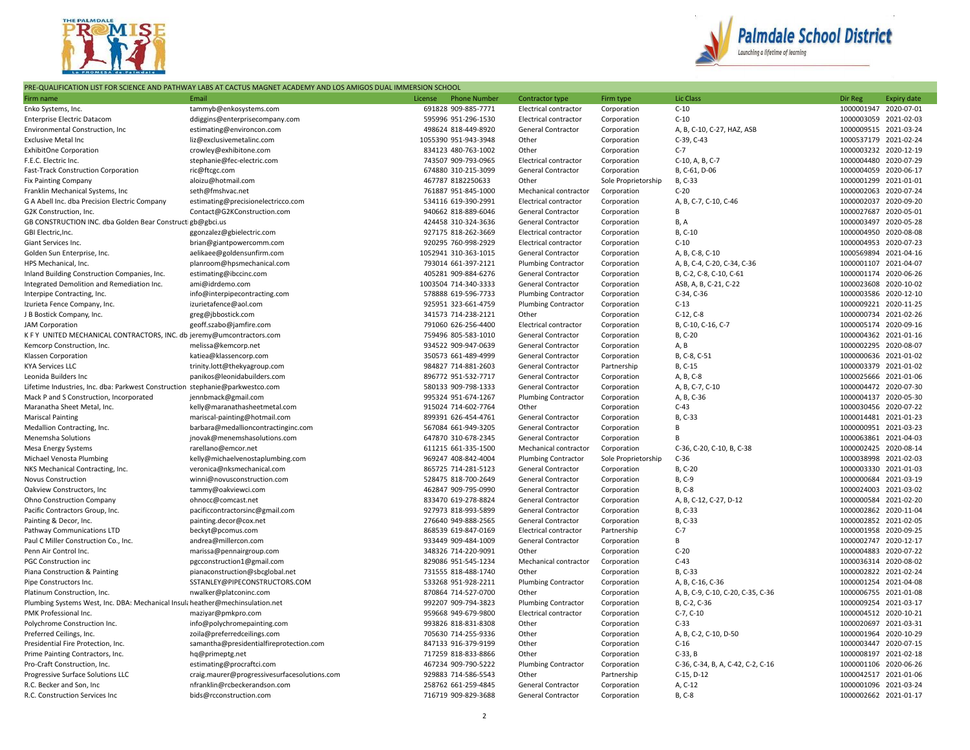



## PRE-QUALIFICATION LIST FOR SCIENCE AND PATHWAY LABS AT CACTUS MAGNET ACADEMY AND LOS AMIGOS DUAL IMMERSION SCHOOL

| Firm name                                                                                              | Email                                                                  | License | <b>Phone Number</b>                        | Contractor type                                     | Firm type                  | <b>Lic Class</b>                  | Dir Reg                             | <b>Expiry date</b> |
|--------------------------------------------------------------------------------------------------------|------------------------------------------------------------------------|---------|--------------------------------------------|-----------------------------------------------------|----------------------------|-----------------------------------|-------------------------------------|--------------------|
| Enko Systems, Inc.                                                                                     | tammyb@enkosystems.com                                                 |         | 691828 909-885-7771                        | Electrical contractor                               | Corporation                | $C-10$                            | 1000001947 2020-07-01               |                    |
| <b>Enterprise Electric Datacom</b>                                                                     | ddiggins@enterprisecompany.com                                         |         | 595996 951-296-1530                        | Electrical contractor                               | Corporation                | $C-10$                            | 1000003059 2021-02-03               |                    |
| <b>Environmental Construction, Inc.</b>                                                                | estimating@environcon.com                                              |         | 498624 818-449-8920                        | <b>General Contractor</b>                           | Corporation                | A, B, C-10, C-27, HAZ, ASB        | 1000009515 2021-03-24               |                    |
| <b>Exclusive Metal Inc</b>                                                                             | liz@exclusivemetalinc.com                                              |         | 1055390 951-943-3948                       | Other                                               | Corporation                | C-39, C-43                        | 1000537179 2021-02-24               |                    |
| <b>ExhibitOne Corporation</b>                                                                          | crowley@exhibitone.com                                                 |         | 834123 480-763-1002                        | Other                                               | Corporation                | $C-7$                             | 1000003232 2020-12-19               |                    |
| F.E.C. Electric Inc.                                                                                   | stephanie@fec-electric.com                                             |         | 743507 909-793-0965                        | Electrical contractor                               | Corporation                | C-10, A, B, C-7                   | 1000004480 2020-07-29               |                    |
| Fast-Track Construction Corporation                                                                    | ric@ftcgc.com                                                          |         | 674880 310-215-3099                        | General Contractor                                  | Corporation                | B, C-61, D-06                     | 1000004059 2020-06-17               |                    |
| <b>Fix Painting Company</b>                                                                            | aloizu@hotmail.com                                                     |         | 467787 8182250633                          | Other                                               | Sole Proprietorship        | B. C-33                           | 1000001299 2021-01-01               |                    |
| Franklin Mechanical Systems, Inc                                                                       | seth@fmshvac.net                                                       |         | 761887 951-845-1000                        | Mechanical contractor                               | Corporation                | $C-20$                            | 1000002063 2020-07-24               |                    |
| G A Abell Inc. dba Precision Electric Company                                                          | estimating@precisionelectricco.com                                     |         | 534116 619-390-2991                        | Electrical contractor                               | Corporation                | A, B, C-7, C-10, C-46             | 1000002037 2020-09-20               |                    |
| G2K Construction, Inc.                                                                                 | Contact@G2KConstruction.com                                            |         | 940662 818-889-6046                        | General Contractor                                  | Corporation                | B                                 | 1000027687                          | 2020-05-01         |
| GB CONSTRUCTION INC. dba Golden Bear Construct gb@gbci.us                                              |                                                                        |         | 424458 310-324-3636                        | General Contractor                                  | Corporation                | B, A                              | 1000003497                          | 2020-05-28         |
| GBI Electric, Inc.                                                                                     | ggonzalez@gbielectric.com                                              |         | 927175 818-262-3669                        | Electrical contractor                               | Corporation                | B, C-10                           | 1000004950 2020-08-08               |                    |
| Giant Services Inc.                                                                                    | brian@giantpowercomm.com                                               |         | 920295 760-998-2929                        | Electrical contractor                               | Corporation                | $C-10$                            | 1000004953 2020-07-23               |                    |
| Golden Sun Enterprise, Inc.                                                                            | aelikaee@goldensunfirm.com                                             |         | 1052941 310-363-1015                       | <b>General Contractor</b>                           | Corporation                | A, B, C-8, C-10                   | 1000569894 2021-04-16               |                    |
| HPS Mechanical, Inc.                                                                                   | planroom@hpsmechanical.com                                             |         | 793014 661-397-2121                        | <b>Plumbing Contractor</b>                          | Corporation                | A, B, C-4, C-20, C-34, C-36       | 1000001107                          | 2021-04-07         |
| Inland Building Construction Companies, Inc.                                                           | estimating@ibccinc.com                                                 |         | 405281 909-884-6276                        | General Contractor                                  | Corporation                | B, C-2, C-8, C-10, C-61           | 1000001174 2020-06-26               |                    |
| Integrated Demolition and Remediation Inc.                                                             | ami@idrdemo.com                                                        |         | 1003504 714-340-3333                       | <b>General Contractor</b>                           | Corporation                | ASB, A, B, C-21, C-22             | 1000023608 2020-10-02               |                    |
| Interpipe Contracting, Inc.                                                                            | info@interpipecontracting.com                                          |         | 578888 619-596-7733                        | <b>Plumbing Contractor</b>                          | Corporation                | C-34, C-36                        | 1000003586 2020-12-10               |                    |
| Izurieta Fence Company, Inc.                                                                           | izurietafence@aol.com                                                  |         | 925951 323-661-4759                        | <b>Plumbing Contractor</b>                          | Corporation                | $C-13$                            | 1000009221 2020-11-25               |                    |
| J B Bostick Company, Inc.                                                                              | greg@jbbostick.com                                                     |         | 341573 714-238-2121                        | Other                                               | Corporation                | $C-12, C-8$                       | 1000000734 2021-02-26               |                    |
| <b>JAM Corporation</b>                                                                                 | geoff.szabo@jamfire.com                                                |         | 791060 626-256-4400                        | Electrical contractor                               | Corporation                | B, C-10, C-16, C-7                | 1000005174 2020-09-16               |                    |
| K F Y UNITED MECHANICAL CONTRACTORS, INC. db jeremy@umcontractors.com                                  |                                                                        |         | 759496 805-583-1010                        | General Contractor                                  | Corporation                | B, C-20                           | 1000004362 2021-01-16               |                    |
| Kemcorp Construction, Inc.                                                                             | melissa@kemcorp.net                                                    |         | 934522 909-947-0639                        | General Contractor                                  | Corporation                | A, B                              | 1000002295                          | 2020-08-07         |
| Klassen Corporation                                                                                    | katiea@klassencorp.com                                                 |         | 350573 661-489-4999                        | General Contractor                                  | Corporation                | B, C-8, C-51                      | 1000000636 2021-01-02               |                    |
| <b>KYA Services LLC</b>                                                                                | trinity.lott@thekyagroup.com                                           |         | 984827 714-881-2603                        | General Contractor                                  | Partnership                | B, C-15                           | 1000003379 2021-01-02               |                    |
| Leonida Builders Inc                                                                                   | panikos@leonidabuilders.com                                            |         | 896772 951-532-7717                        | General Contractor                                  | Corporation                | A, B, C-8                         | 1000025666 2021-01-06               |                    |
| Lifetime Industries, Inc. dba: Parkwest Construction stephanie@parkwestco.com                          |                                                                        |         | 580133 909-798-1333                        | General Contractor                                  | Corporation                | A, B, C-7, C-10                   | 1000004472                          | 2020-07-30         |
| Mack P and S Construction, Incorporated                                                                | jennbmack@gmail.com                                                    |         | 995324 951-674-1267                        | <b>Plumbing Contractor</b>                          | Corporation                | A, B, C-36                        | 1000004137 2020-05-30               |                    |
| Maranatha Sheet Metal, Inc.                                                                            | kelly@maranathasheetmetal.com                                          |         | 915024 714-602-7764                        | Other                                               | Corporation                | $C-43$                            | 1000030456 2020-07-22               |                    |
| <b>Mariscal Painting</b>                                                                               | mariscal-painting@hotmail.com                                          |         | 899391 626-454-4761                        | General Contractor                                  | Corporation                | B, C-33                           | 1000014481 2021-01-23               |                    |
| Medallion Contracting, Inc.                                                                            | barbara@medallioncontractinginc.com                                    |         | 567084 661-949-3205                        | General Contractor                                  | Corporation                | B                                 | 1000000951 2021-03-23               |                    |
| Menemsha Solutions                                                                                     | jnovak@menemshasolutions.com                                           |         | 647870 310-678-2345                        | <b>General Contractor</b>                           | Corporation                | B                                 | 1000063861 2021-04-03               |                    |
| Mesa Energy Systems                                                                                    | rarellano@emcor.net                                                    |         | 611215 661-335-1500                        | Mechanical contractor                               | Corporation                | C-36, C-20, C-10, B, C-38         | 1000002425 2020-08-14               |                    |
| Michael Venosta Plumbing                                                                               | kelly@michaelvenostaplumbing.com                                       |         | 969247 408-842-4004                        | <b>Plumbing Contractor</b>                          | Sole Proprietorship        | $C-36$                            | 1000038998 2021-02-03               |                    |
| NKS Mechanical Contracting, Inc.                                                                       | veronica@nksmechanical.com                                             |         | 865725 714-281-5123                        | General Contractor                                  | Corporation                | B, C-20                           | 1000003330                          | 2021-01-03         |
| Novus Construction                                                                                     | winni@novusconstruction.com                                            |         | 528475 818-700-2649                        | General Contractor                                  | Corporation                | B, C-9                            | 1000000684 2021-03-19               |                    |
| Oakview Constructors, Inc.                                                                             | tammy@oakviewci.com                                                    |         | 462847 909-795-0990                        | General Contractor                                  | Corporation                | B, C-8                            | 1000024003 2021-03-02               |                    |
| Ohno Construction Company                                                                              | ohnocc@comcast.net                                                     |         | 833470 619-278-8824                        | General Contractor                                  | Corporation                | A, B, C-12, C-27, D-12            | 1000000584 2021-02-20               |                    |
| Pacific Contractors Group, Inc.                                                                        | pacificcontractorsinc@gmail.com                                        |         | 927973 818-993-5899                        | <b>General Contractor</b>                           | Corporation                | B, C-33                           | 1000002862                          | 2020-11-04         |
| Painting & Decor, Inc.                                                                                 | painting.decor@cox.net                                                 |         | 276640 949-888-2565                        | General Contractor                                  | Corporation                | B, C-33                           | 1000002852 2021-02-05               |                    |
| Pathway Communications LTD                                                                             | beckyt@pcomus.com                                                      |         | 868539 619-847-0169                        | Electrical contractor                               | Partnership                | $C-7$<br>B                        | 1000001958 2020-09-25               |                    |
| Paul C Miller Construction Co., Inc.                                                                   | andrea@millercon.com                                                   |         | 933449 909-484-1009                        | General Contractor                                  | Corporation                | $C-20$                            | 1000002747 2020-12-17<br>1000004883 | 2020-07-22         |
| Penn Air Control Inc.                                                                                  | marissa@pennairgroup.com                                               |         | 348326 714-220-9091                        | Other                                               | Corporation                | $C-43$                            | 1000036314 2020-08-02               |                    |
| <b>PGC Construction inc</b>                                                                            | pgcconstruction1@gmail.com                                             |         | 829086 951-545-1234                        | Mechanical contractor                               | Corporation                |                                   | 1000002822 2021-02-24               |                    |
| Piana Construction & Painting                                                                          | pianaconstruction@sbcglobal.net                                        |         | 731555 818-488-1740                        | Other                                               | Corporation                | B, C-33                           |                                     |                    |
| Pipe Constructors Inc.                                                                                 | SSTANLEY@PIPECONSTRUCTORS.COM                                          |         | 533268 951-928-2211                        | <b>Plumbing Contractor</b>                          | Corporation                | A, B, C-16, C-36                  | 1000001254 2021-04-08               |                    |
| Platinum Construction, Inc.                                                                            | nwalker@platconinc.com                                                 |         | 870864 714-527-0700                        | Other                                               | Corporation                | A, B, C-9, C-10, C-20, C-35, C-36 | 1000006755<br>1000009254 2021-03-17 | 2021-01-08         |
| Plumbing Systems West, Inc. DBA: Mechanical Insul; heather@mechinsulation.net<br>PMK Professional Inc. |                                                                        |         | 992207 909-794-3823<br>959668 949-679-9800 | <b>Plumbing Contractor</b><br>Electrical contractor | Corporation                | B, C-2, C-36<br>$C-7, C-10$       | 1000004512 2020-10-21               |                    |
| Polychrome Construction Inc.                                                                           | maziyar@pmkpro.com<br>info@polychromepainting.com                      |         | 993826 818-831-8308                        | Other                                               | Corporation<br>Corporation | $C-33$                            | 1000020697 2021-03-31               |                    |
|                                                                                                        |                                                                        |         | 705630 714-255-9336                        | Other                                               |                            |                                   | 1000001964                          | 2020-10-29         |
| Preferred Ceilings, Inc.<br>Presidential Fire Protection, Inc.                                         | zoila@preferredceilings.com<br>samantha@presidentialfireprotection.com |         | 847133 916-379-9199                        | Other                                               | Corporation<br>Corporation | A, B, C-2, C-10, D-50<br>$C-16$   | 1000003447 2020-07-15               |                    |
| Prime Painting Contractors, Inc.                                                                       | hq@primeptg.net                                                        |         | 717259 818-833-8866                        | Other                                               | Corporation                | $C-33, B$                         | 1000008197 2021-02-18               |                    |
| Pro-Craft Construction, Inc.                                                                           | estimating@procraftci.com                                              |         | 467234 909-790-5222                        | <b>Plumbing Contractor</b>                          | Corporation                | C-36, C-34, B, A, C-42, C-2, C-16 | 1000001106 2020-06-26               |                    |
| Progressive Surface Solutions LLC                                                                      | craig.maurer@progressivesurfacesolutions.com                           |         | 929883 714-586-5543                        | Other                                               | Partnership                | C-15, D-12                        | 1000042517                          | 2021-01-06         |
| R.C. Becker and Son, Inc                                                                               | nfranklin@rcbeckerandson.com                                           |         | 258762 661-259-4845                        | <b>General Contractor</b>                           | Corporation                | A, C-12                           | 1000001096 2021-03-24               |                    |
| R.C. Construction Services Inc                                                                         | bids@rcconstruction.com                                                |         | 716719 909-829-3688                        | General Contractor                                  | Corporation                | B, C-8                            | 1000002662 2021-01-17               |                    |
|                                                                                                        |                                                                        |         |                                            |                                                     |                            |                                   |                                     |                    |